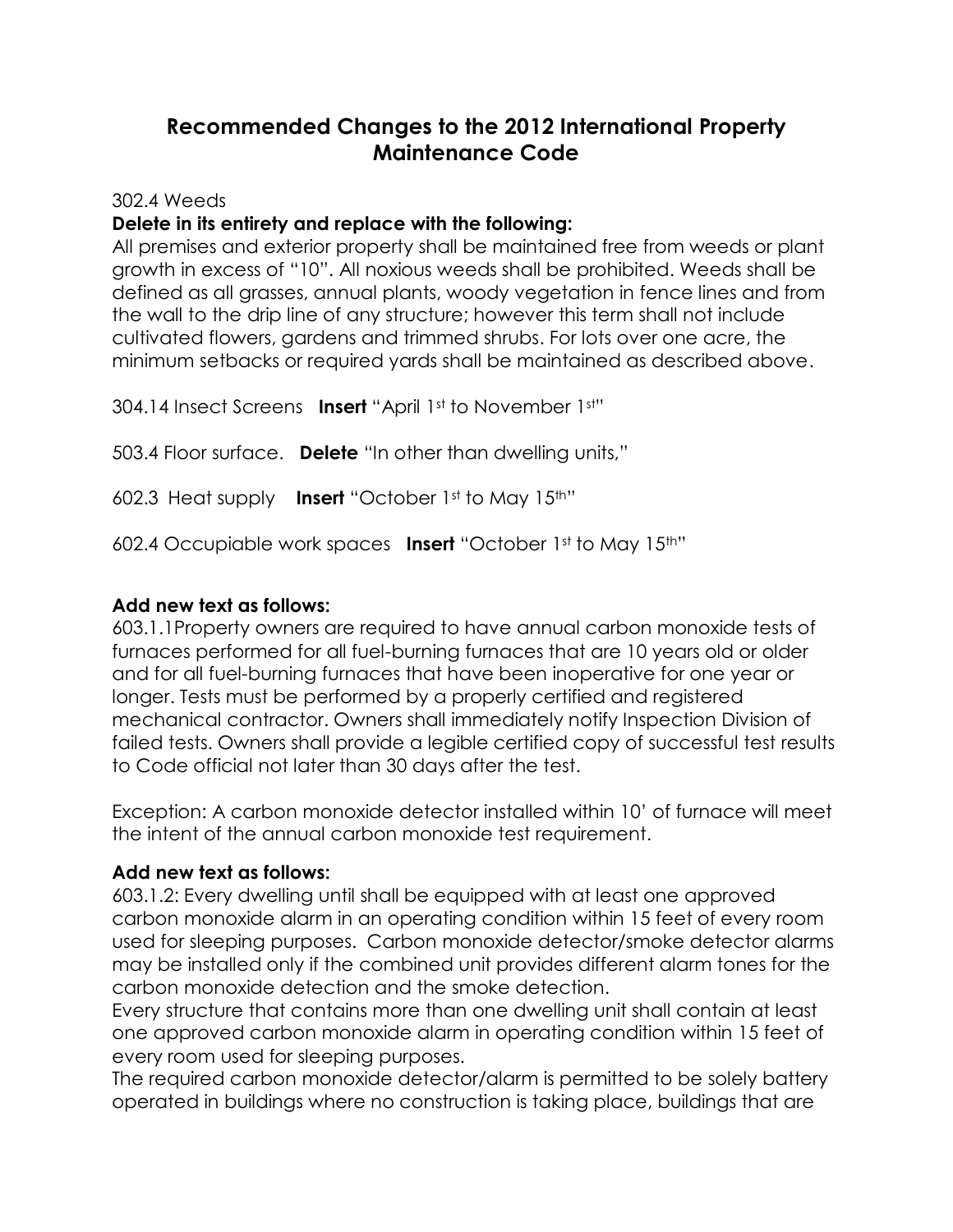# **Recommended Changes to the 2012 International Property Maintenance Code**

302.4 Weeds

## **Delete in its entirety and replace with the following:**

All premises and exterior property shall be maintained free from weeds or plant growth in excess of "10". All noxious weeds shall be prohibited. Weeds shall be defined as all grasses, annual plants, woody vegetation in fence lines and from the wall to the drip line of any structure; however this term shall not include cultivated flowers, gardens and trimmed shrubs. For lots over one acre, the minimum setbacks or required yards shall be maintained as described above.

304.14 Insect Screens **Insert** "April 1st to November 1st"

503.4 Floor surface. **Delete** "In other than dwelling units,"

602.3 Heat supply **Insert** "October 1st to May 15th"

602.4 Occupiable work spaces **Insert** "October 1st to May 15th"

## **Add new text as follows:**

603.1.1Property owners are required to have annual carbon monoxide tests of furnaces performed for all fuel-burning furnaces that are 10 years old or older and for all fuel-burning furnaces that have been inoperative for one year or longer. Tests must be performed by a properly certified and registered mechanical contractor. Owners shall immediately notify Inspection Division of failed tests. Owners shall provide a legible certified copy of successful test results to Code official not later than 30 days after the test.

Exception: A carbon monoxide detector installed within 10' of furnace will meet the intent of the annual carbon monoxide test requirement.

### **Add new text as follows:**

603.1.2: Every dwelling until shall be equipped with at least one approved carbon monoxide alarm in an operating condition within 15 feet of every room used for sleeping purposes. Carbon monoxide detector/smoke detector alarms may be installed only if the combined unit provides different alarm tones for the carbon monoxide detection and the smoke detection.

Every structure that contains more than one dwelling unit shall contain at least one approved carbon monoxide alarm in operating condition within 15 feet of every room used for sleeping purposes.

The required carbon monoxide detector/alarm is permitted to be solely battery operated in buildings where no construction is taking place, buildings that are